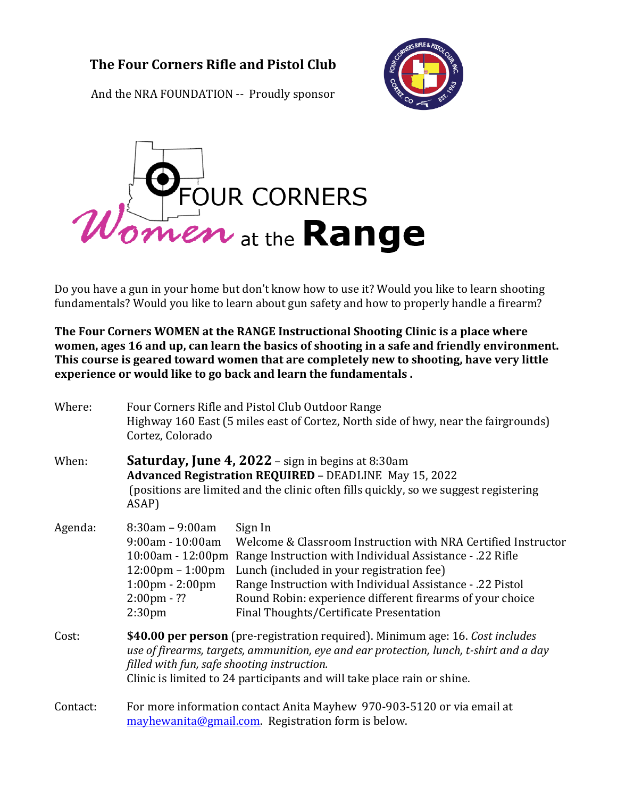## **The Four Corners Rifle and Pistol Club**



And the NRA FOUNDATION -- Proudly sponsor



Do you have a gun in your home but don't know how to use it? Would you like to learn shooting fundamentals? Would you like to learn about gun safety and how to properly handle a firearm?

**The Four Corners WOMEN at the RANGE Instructional Shooting Clinic is a place where women, ages 16 and up, can learn the basics of shooting in a safe and friendly environment. This course is geared toward women that are completely new to shooting, have very little experience or would like to go back and learn the fundamentals .** 

| Where:   | Four Corners Rifle and Pistol Club Outdoor Range<br>Highway 160 East (5 miles east of Cortez, North side of hwy, near the fairgrounds)<br>Cortez, Colorado                                                                                                                                         |                                                                                                                                                                                                                                                                                                                                                                          |
|----------|----------------------------------------------------------------------------------------------------------------------------------------------------------------------------------------------------------------------------------------------------------------------------------------------------|--------------------------------------------------------------------------------------------------------------------------------------------------------------------------------------------------------------------------------------------------------------------------------------------------------------------------------------------------------------------------|
| When:    | <b>Saturday, June 4, 2022</b> - sign in begins at 8:30am<br><b>Advanced Registration REQUIRED - DEADLINE May 15, 2022</b><br>(positions are limited and the clinic often fills quickly, so we suggest registering<br>ASAP)                                                                         |                                                                                                                                                                                                                                                                                                                                                                          |
| Agenda:  | $8:30am - 9:00am$<br>$9:00$ am - 10:00am<br>$12:00 \text{pm} - 1:00 \text{pm}$<br>$1:00 \text{pm} - 2:00 \text{pm}$<br>$2:00 \text{pm} - ??$<br>2:30 <sub>pm</sub>                                                                                                                                 | Sign In<br>Welcome & Classroom Instruction with NRA Certified Instructor<br>10:00am - 12:00pm Range Instruction with Individual Assistance - .22 Rifle<br>Lunch (included in your registration fee)<br>Range Instruction with Individual Assistance - .22 Pistol<br>Round Robin: experience different firearms of your choice<br>Final Thoughts/Certificate Presentation |
| Cost:    | \$40.00 per person (pre-registration required). Minimum age: 16. Cost includes<br>use of firearms, targets, ammunition, eye and ear protection, lunch, t-shirt and a day<br>filled with fun, safe shooting instruction.<br>Clinic is limited to 24 participants and will take place rain or shine. |                                                                                                                                                                                                                                                                                                                                                                          |
| Contact: | For more information contact Anita Mayhew 970-903-5120 or via email at<br>mayhewanita@gmail.com. Registration form is below.                                                                                                                                                                       |                                                                                                                                                                                                                                                                                                                                                                          |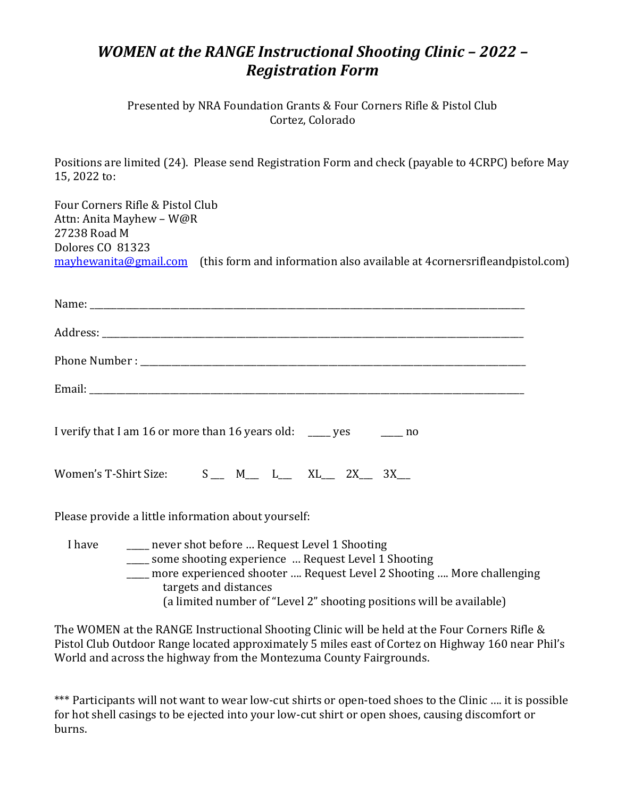## *WOMEN at the RANGE Instructional Shooting Clinic - 2022 -Registration Form*

Presented by NRA Foundation Grants & Four Corners Rifle & Pistol Club Cortez, Colorado

Positions are limited (24). Please send Registration Form and check (payable to 4CRPC) before May 15, 2022 to:

| Four Corners Rifle & Pistol Club |                                                                                                    |
|----------------------------------|----------------------------------------------------------------------------------------------------|
| Attn: Anita Mayhew - W@R         |                                                                                                    |
| 27238 Road M                     |                                                                                                    |
| Dolores CO 81323                 |                                                                                                    |
|                                  | mayhewanita@gmail.com (this form and information also available at 4 corners rifle and pistol.com) |

| I verify that I am 16 or more than 16 years old: _____ yes ______ no                                                                                                                                                                                                                                                                                    |
|---------------------------------------------------------------------------------------------------------------------------------------------------------------------------------------------------------------------------------------------------------------------------------------------------------------------------------------------------------|
| Women's T-Shirt Size: S _ M__ L__ XL__ 2X__ 3X__                                                                                                                                                                                                                                                                                                        |
| Please provide a little information about yourself:<br>$\mathbf{I}$ and $\mathbf{I}$ and $\mathbf{I}$ and $\mathbf{I}$ and $\mathbf{I}$ and $\mathbf{I}$ and $\mathbf{I}$ and $\mathbf{I}$ and $\mathbf{I}$ and $\mathbf{I}$ and $\mathbf{I}$ and $\mathbf{I}$ and $\mathbf{I}$ and $\mathbf{I}$ and $\mathbf{I}$ and $\mathbf{I}$ and $\mathbf{I}$ and |

 I have \_\_\_\_\_ never shot before … Request Level 1 Shooting \_\_\_\_\_ some shooting experience … Request Level 1 Shooting \_\_\_\_\_ more experienced shooter …. Request Level 2 Shooting …. More challenging targets and distances (a limited number of "Level 2" shooting positions will be available)

The WOMEN at the RANGE Instructional Shooting Clinic will be held at the Four Corners Rifle & Pistol Club Outdoor Range located approximately 5 miles east of Cortez on Highway 160 near Phil's World and across the highway from the Montezuma County Fairgrounds.

\*\*\* Participants will not want to wear low-cut shirts or open-toed shoes to the Clinic …. it is possible for hot shell casings to be ejected into your low-cut shirt or open shoes, causing discomfort or burns.